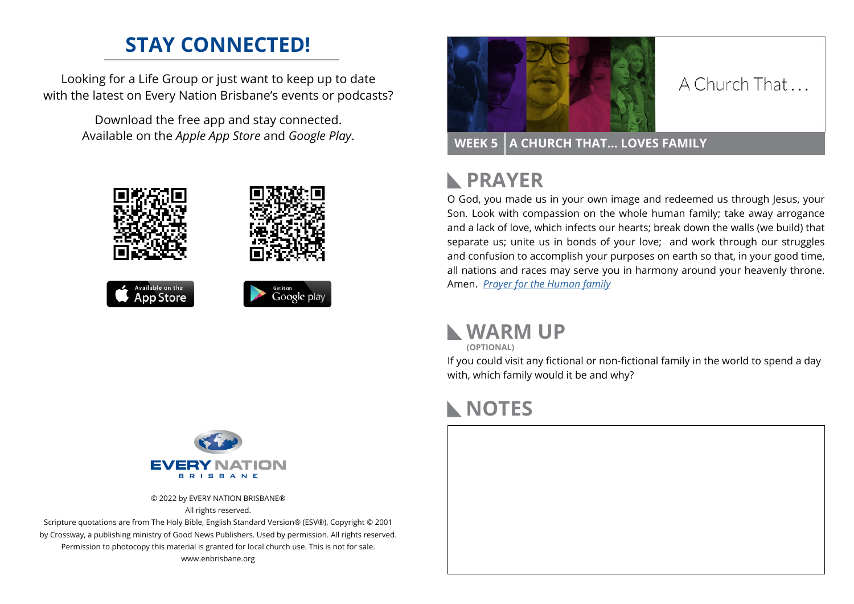## **STAY CONNECTED!**

Looking for a Life Group or just want to keep up to date with the latest on Every Nation Brisbane's events or podcasts?

> Download the free app and stay connected. Available on the *Apple App Store* and *Google Play*.





#### A Church That

**WEEK 5 A CHURCH THAT… LOVES FAMILY**

#### **PRAYER**  $\mathbb{R}$

O God, you made us in your own image and redeemed us through Jesus, your Son. Look with compassion on the whole human family; take away arrogance and a lack of love, which infects our hearts; break down the walls (we build) that separate us; unite us in bonds of your love; and work through our struggles and confusion to accomplish your purposes on earth so that, in your good time, all nations and races may serve you in harmony around your heavenly throne. Amen. *[Prayer for the Human family](https://prayerstrategy.org/pray-for-family-2022/)*



**(OPTIONAL)**

If you could visit any fictional or non-fictional family in the world to spend a day with, which family would it be and why?

### **NOTES**





© 2022 by EVERY NATION BRISBANE® All rights reserved.

Scripture quotations are from The Holy Bible, English Standard Version® (ESV®), Copyright © 2001 by Crossway, a publishing ministry of Good News Publishers. Used by permission. All rights reserved. Permission to photocopy this material is granted for local church use. This is not for sale. www.enbrisbane.org